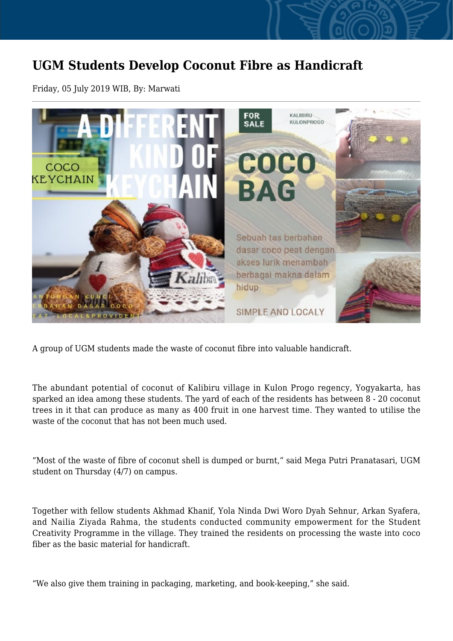## **UGM Students Develop Coconut Fibre as Handicraft**

Friday, 05 July 2019 WIB, By: Marwati



A group of UGM students made the waste of coconut fibre into valuable handicraft.

The abundant potential of coconut of Kalibiru village in Kulon Progo regency, Yogyakarta, has sparked an idea among these students. The yard of each of the residents has between 8 - 20 coconut trees in it that can produce as many as 400 fruit in one harvest time. They wanted to utilise the waste of the coconut that has not been much used.

"Most of the waste of fibre of coconut shell is dumped or burnt," said Mega Putri Pranatasari, UGM student on Thursday (4/7) on campus.

Together with fellow students Akhmad Khanif, Yola Ninda Dwi Woro Dyah Sehnur, Arkan Syafera, and Nailia Ziyada Rahma, the students conducted community empowerment for the Student Creativity Programme in the village. They trained the residents on processing the waste into coco fiber as the basic material for handicraft.

"We also give them training in packaging, marketing, and book-keeping," she said.